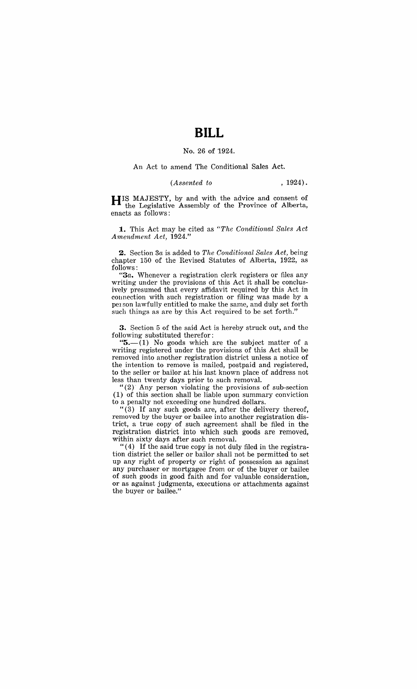# **BILL**

#### No. 26 of 1924.

#### An Act to amend The Conditional Sales Act.

#### *(Assented to* , 1924).

HIS MAJESTY, by and with the advice and consent of the Legislative Assembly of the Province of Alberta, enacts as follows:

**1.** This Act may be cited as *"The Conditional Sales Act Amendment Act, 1924."* 

2. Section *3a* is added to *The Conditional Sales Act,* being chapter 150 of the Revised Statutes of Alberta, 1922, as follows:

*"3a.* Whenever a registration clerk registers or files any writing under the provisions of this Act it shall be conclusively presumed that every affidavit required by this Act in connection with such registration or filing was made by a person lawfully entitled to make the same, and duly set forth such things as are by this Act required to be set forth.'

3. Section 5 of the said Act is hereby struck out, and the following substituted therefor:

" $5.-(1)$  No goods which are the subject matter of a writing registered under the provisions of this Act shall be removed into another registration district unless a notice of the intention to remove is mailed, postpaid and registered, to the seller or bailor at his last known place of address not less than twenty days prior to such removal.

"(2) Any person violating the provisions of sub-section (1) of this section shall be liable upon summary conviction

to a penalty not exceeding one hundred dollars. "(3) If any such goods are, after the delivery thereof, removed by the buyer or bailee into another registration district, a true copy of such agreement shall be filed in the registration district into which such goods are removed, within sixty days after such removal.

"( 4) If the said true copy is not duly filed in the registration district the seller or bailor shall not be permitted to set up any right of property or right of possession as against any purchaser or mortgagee from or of the buyer or bailee of such goods in good faith and for valuable consideration, or as against judgments, executions or attachments against the buyer or bailee."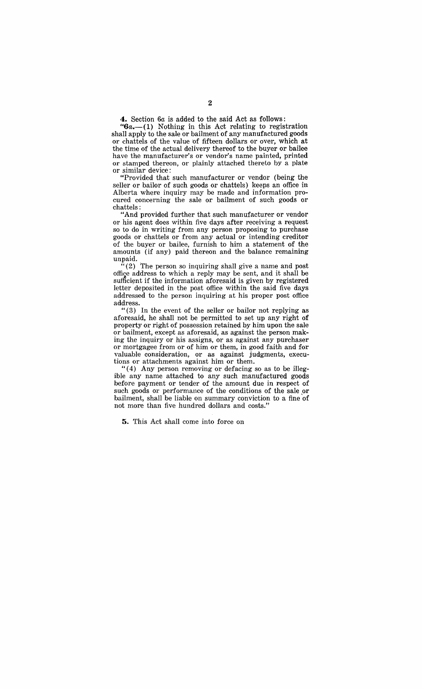**4.** Section 6a is added to the said Act as follows:

*"6a.-*(1) Nothing in this Act relating to registration shall apply to the sale or bailment of any manufactured goods or chattels of the value of fifteen dollars or over, which at the time of the actual delivery thereof to the buyer or bailee have the manufacturer's or vendor's name painted, printed or stamped thereon, or plainly attached thereto by a plate or similar device:

"Provided that such manufacturer or vendor (being the seller or bailor of such goods or chattels) keeps an office in Alberta where inquiry may be made and information procured concerning the sale or bailment of such goods or chattels:

"And provided further that such manufacturer or vendor or his agent does within five days after receiving a request so to do in writing from any person proposing to purchase goods or chattels or from any actual or intending creditor of the buyer or bailee, furnish to him a statement of the amounts (if any) paid thereon and the balance remaining unpaid.

 $(2)$  The person so inquiring shall give a name and post office address to which a reply may be sent, and it shall be sufficient if the information aforesaid is given by registered letter deposited in the post office within the said five days addressed to the person inquiring at his proper post office address.

" $(3)$  In the event of the seller or bailor not replying as aforesaid, he shall not be permitted to set up any right of property or right of possession retained by him upon the sale or bailment, except as aforesaid, as against the person making the inquiry or his assigns, or as against any purchaser or mortgagee from or of him or them, in good faith and for valuable consideration, or as against judgments, executions or attachments against him or them.

 $(4)$  Any person removing or defacing so as to be illegible any name attached to any such manufactured goods before payment or tender of the amount due in respect of such goods or performance of the conditions of the sale or bailment, shall be liable on summary conviction to a fine of not more than five hundred dollars and costs.'

5. This Act shall come into force on